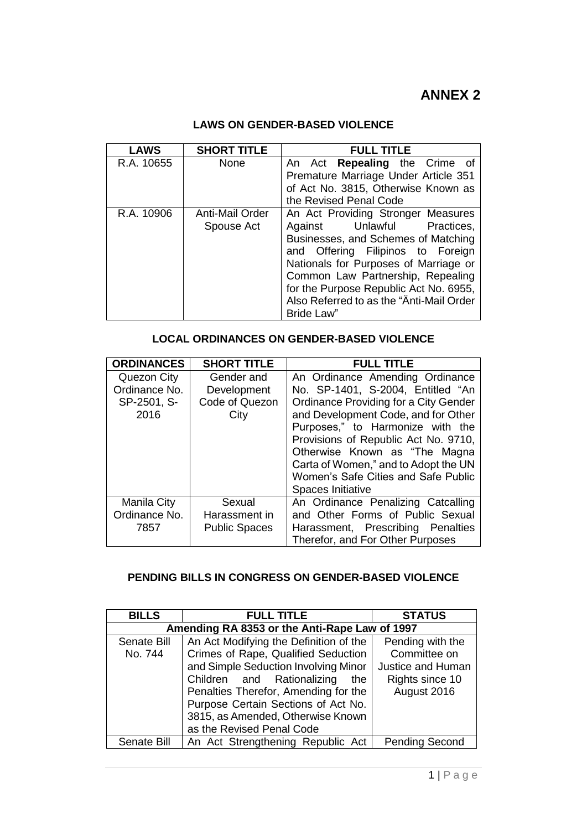## **ANNEX 2**

## **LAWS ON GENDER-BASED VIOLENCE**

| <b>LAWS</b> | <b>SHORT TITLE</b>            | <b>FULL TITLE</b>                                                                                                                                                                                                                                                                                                                      |
|-------------|-------------------------------|----------------------------------------------------------------------------------------------------------------------------------------------------------------------------------------------------------------------------------------------------------------------------------------------------------------------------------------|
| R.A. 10655  | <b>None</b>                   | An Act <b>Repealing</b> the Crime of<br>Premature Marriage Under Article 351<br>of Act No. 3815, Otherwise Known as<br>the Revised Penal Code                                                                                                                                                                                          |
| R.A. 10906  | Anti-Mail Order<br>Spouse Act | An Act Providing Stronger Measures<br>Against Unlawful Practices,<br>Businesses, and Schemes of Matching<br>and Offering Filipinos to Foreign<br>Nationals for Purposes of Marriage or<br>Common Law Partnership, Repealing<br>for the Purpose Republic Act No. 6955,<br>Also Referred to as the "Anti-Mail Order<br><b>Bride Law"</b> |

| <b>LOCAL ORDINANCES ON GENDER-BASED VIOLENCE</b> |  |  |
|--------------------------------------------------|--|--|
|--------------------------------------------------|--|--|

| <b>ORDINANCES</b> | <b>SHORT TITLE</b>   | <b>FULL TITLE</b>                     |  |  |  |
|-------------------|----------------------|---------------------------------------|--|--|--|
| Quezon City       | Gender and           | An Ordinance Amending Ordinance       |  |  |  |
| Ordinance No.     | Development          | No. SP-1401, S-2004, Entitled "An     |  |  |  |
| SP-2501, S-       | Code of Quezon       | Ordinance Providing for a City Gender |  |  |  |
| 2016              | City                 | and Development Code, and for Other   |  |  |  |
|                   |                      | Purposes," to Harmonize with the      |  |  |  |
|                   |                      | Provisions of Republic Act No. 9710,  |  |  |  |
|                   |                      | Otherwise Known as "The Magna         |  |  |  |
|                   |                      | Carta of Women," and to Adopt the UN  |  |  |  |
|                   |                      | Women's Safe Cities and Safe Public   |  |  |  |
|                   |                      | Spaces Initiative                     |  |  |  |
| Manila City       | Sexual               | An Ordinance Penalizing Catcalling    |  |  |  |
| Ordinance No.     | Harassment in        | and Other Forms of Public Sexual      |  |  |  |
| 7857              | <b>Public Spaces</b> | Harassment, Prescribing<br>Penalties  |  |  |  |
|                   |                      | Therefor, and For Other Purposes      |  |  |  |

## **PENDING BILLS IN CONGRESS ON GENDER-BASED VIOLENCE**

| <b>BILLS</b> | <b>FULL TITLE</b>                             | <b>STATUS</b>         |  |  |  |
|--------------|-----------------------------------------------|-----------------------|--|--|--|
|              | Amending RA 8353 or the Anti-Rape Law of 1997 |                       |  |  |  |
| Senate Bill  | An Act Modifying the Definition of the        | Pending with the      |  |  |  |
| No. 744      | Crimes of Rape, Qualified Seduction           | Committee on          |  |  |  |
|              | and Simple Seduction Involving Minor          | Justice and Human     |  |  |  |
|              | Children and Rationalizing<br>the             | Rights since 10       |  |  |  |
|              | Penalties Therefor, Amending for the          | August 2016           |  |  |  |
|              | Purpose Certain Sections of Act No.           |                       |  |  |  |
|              | 3815, as Amended, Otherwise Known             |                       |  |  |  |
|              | as the Revised Penal Code                     |                       |  |  |  |
| Senate Bill  | An Act Strengthening Republic Act             | <b>Pending Second</b> |  |  |  |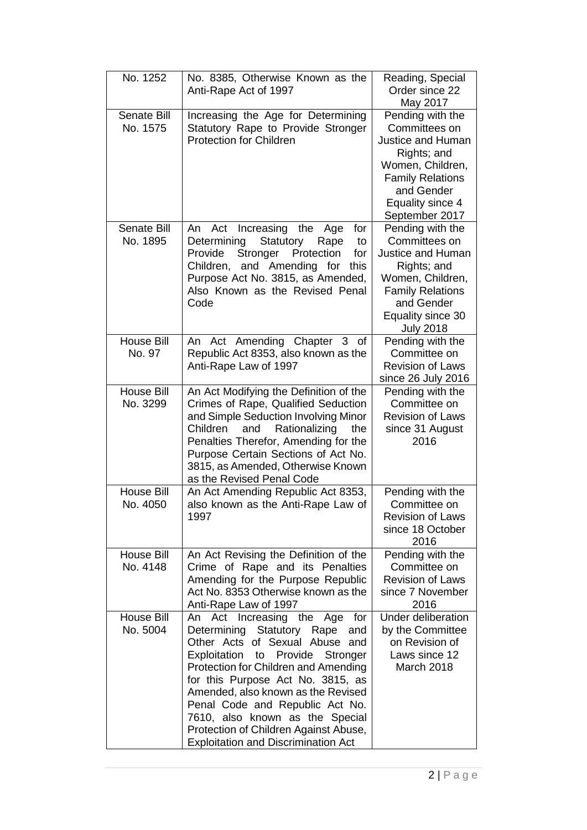| No. 1252                       | No. 8385, Otherwise Known as the<br>Anti-Rape Act of 1997                                                                                                                                                                                                                                                                                                                                                                         | Reading, Special<br>Order since 22<br>May 2017                                                                                                                                     |
|--------------------------------|-----------------------------------------------------------------------------------------------------------------------------------------------------------------------------------------------------------------------------------------------------------------------------------------------------------------------------------------------------------------------------------------------------------------------------------|------------------------------------------------------------------------------------------------------------------------------------------------------------------------------------|
| <b>Senate Bill</b><br>No. 1575 | Increasing the Age for Determining<br>Statutory Rape to Provide Stronger<br><b>Protection for Children</b>                                                                                                                                                                                                                                                                                                                        | Pending with the<br>Committees on<br><b>Justice and Human</b><br>Rights; and<br>Women, Children,<br><b>Family Relations</b><br>and Gender<br>Equality since 4<br>September 2017    |
| <b>Senate Bill</b><br>No. 1895 | Increasing<br>the<br>for<br>An<br>Act<br>Age<br>Determining<br>Statutory<br>Rape<br>to<br>Stronger<br>Provide<br>Protection<br>for<br>Children, and Amending<br>for<br>this<br>Purpose Act No. 3815, as Amended,<br>Also Known as the Revised Penal<br>Code                                                                                                                                                                       | Pending with the<br>Committees on<br><b>Justice and Human</b><br>Rights; and<br>Women, Children,<br><b>Family Relations</b><br>and Gender<br>Equality since 30<br><b>July 2018</b> |
| House Bill<br>No. 97           | An Act Amending Chapter 3 of<br>Republic Act 8353, also known as the<br>Anti-Rape Law of 1997                                                                                                                                                                                                                                                                                                                                     | Pending with the<br>Committee on<br><b>Revision of Laws</b><br>since 26 July 2016                                                                                                  |
| House Bill<br>No. 3299         | An Act Modifying the Definition of the<br>Crimes of Rape, Qualified Seduction<br>and Simple Seduction Involving Minor<br>Rationalizing<br>Children<br>and<br>the<br>Penalties Therefor, Amending for the<br>Purpose Certain Sections of Act No.<br>3815, as Amended, Otherwise Known<br>as the Revised Penal Code                                                                                                                 | Pending with the<br>Committee on<br><b>Revision of Laws</b><br>since 31 August<br>2016                                                                                             |
| House Bill<br>No. 4050         | An Act Amending Republic Act 8353,<br>also known as the Anti-Rape Law of<br>1997                                                                                                                                                                                                                                                                                                                                                  | Pending with the<br>Committee on<br><b>Revision of Laws</b><br>since 18 October<br>2016                                                                                            |
| <b>House Bill</b><br>No. 4148  | An Act Revising the Definition of the<br>Rape and its Penalties<br>Crime of<br>Amending for the Purpose Republic<br>Act No. 8353 Otherwise known as the<br>Anti-Rape Law of 1997                                                                                                                                                                                                                                                  | Pending with the<br>Committee on<br><b>Revision of Laws</b><br>since 7 November<br>2016                                                                                            |
| House Bill<br>No. 5004         | Act Increasing the Age<br>for<br>An<br>Determining Statutory Rape<br>and<br>Other Acts of Sexual Abuse and<br>Exploitation to Provide<br>Stronger<br>Protection for Children and Amending<br>for this Purpose Act No. 3815, as<br>Amended, also known as the Revised<br>Penal Code and Republic Act No.<br>7610, also known as the Special<br>Protection of Children Against Abuse,<br><b>Exploitation and Discrimination Act</b> | Under deliberation<br>by the Committee<br>on Revision of<br>Laws since 12<br><b>March 2018</b>                                                                                     |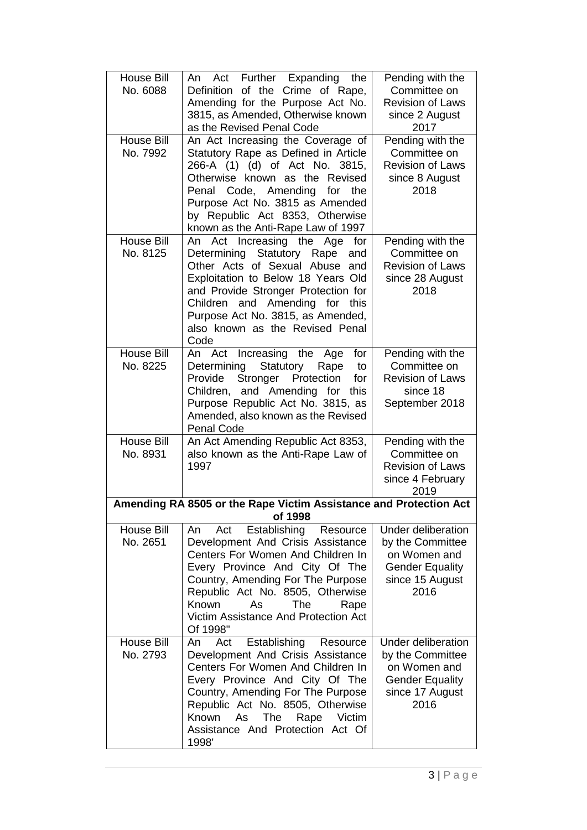| House Bill<br>No. 6088        | An Act Further Expanding the<br>Definition of the Crime of Rape,<br>Amending for the Purpose Act No.<br>3815, as Amended, Otherwise known<br>as the Revised Penal Code                                                                                                                                          | Pending with the<br>Committee on<br><b>Revision of Laws</b><br>since 2 August<br>2017                              |
|-------------------------------|-----------------------------------------------------------------------------------------------------------------------------------------------------------------------------------------------------------------------------------------------------------------------------------------------------------------|--------------------------------------------------------------------------------------------------------------------|
| <b>House Bill</b><br>No. 7992 | An Act Increasing the Coverage of<br>Statutory Rape as Defined in Article<br>266-A (1) (d) of Act No. 3815,<br>Otherwise known as the Revised<br>Penal Code, Amending<br>for the<br>Purpose Act No. 3815 as Amended<br>by Republic Act 8353, Otherwise<br>known as the Anti-Rape Law of 1997                    | Pending with the<br>Committee on<br><b>Revision of Laws</b><br>since 8 August<br>2018                              |
| <b>House Bill</b><br>No. 8125 | An Act Increasing the<br>Age<br>for<br>Statutory Rape<br>Determining<br>and<br>Other Acts of Sexual Abuse and<br>Exploitation to Below 18 Years Old<br>and Provide Stronger Protection for<br>Children and Amending for this<br>Purpose Act No. 3815, as Amended,<br>also known as the Revised Penal<br>Code    | Pending with the<br>Committee on<br><b>Revision of Laws</b><br>since 28 August<br>2018                             |
| <b>House Bill</b><br>No. 8225 | Increasing<br>for<br>An Act<br>the<br>Age<br>Statutory<br>Determining<br>Rape<br>to<br>Stronger<br>Provide<br>Protection<br>for<br>Children, and Amending for<br>this<br>Purpose Republic Act No. 3815, as<br>Amended, also known as the Revised<br><b>Penal Code</b>                                           | Pending with the<br>Committee on<br><b>Revision of Laws</b><br>since 18<br>September 2018                          |
| House Bill<br>No. 8931        | An Act Amending Republic Act 8353,<br>also known as the Anti-Rape Law of<br>1997                                                                                                                                                                                                                                | Pending with the<br>Committee on<br><b>Revision of Laws</b><br>since 4 February<br>2019                            |
|                               | Amending RA 8505 or the Rape Victim Assistance and Protection Act<br>of 1998                                                                                                                                                                                                                                    |                                                                                                                    |
| <b>House Bill</b><br>No. 2651 | Establishing<br>Act<br>Resource<br>An<br>Development And Crisis Assistance<br>Centers For Women And Children In<br>Every Province And City Of The<br>Country, Amending For The Purpose<br>Republic Act No. 8505, Otherwise<br>The<br>Known<br>As<br>Rape<br>Victim Assistance And Protection Act<br>Of 1998"    | <b>Under deliberation</b><br>by the Committee<br>on Women and<br><b>Gender Equality</b><br>since 15 August<br>2016 |
| <b>House Bill</b><br>No. 2793 | Act<br>Establishing<br>Resource<br>An<br>Development And Crisis Assistance<br>Centers For Women And Children In<br>Every Province And City Of The<br>Country, Amending For The Purpose<br>Republic Act No. 8505, Otherwise<br>Known<br>As<br>The<br>Rape<br>Victim<br>Assistance And Protection Act Of<br>1998' | <b>Under deliberation</b><br>by the Committee<br>on Women and<br><b>Gender Equality</b><br>since 17 August<br>2016 |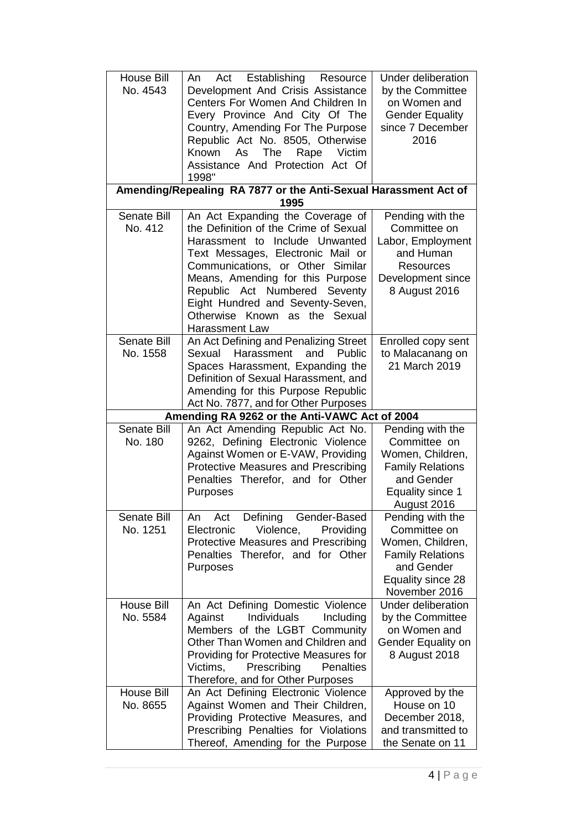| <b>House Bill</b><br>No. 4543  | Establishing<br>Act<br>Resource<br>An<br>Development And Crisis Assistance<br>Centers For Women And Children In<br>Every Province And City Of The<br>Country, Amending For The Purpose<br>Republic Act No. 8505, Otherwise<br>The<br>Victim<br>Known<br>As<br>Rape<br>Assistance And Protection Act Of<br>1998"                                            | <b>Under deliberation</b><br>by the Committee<br>on Women and<br><b>Gender Equality</b><br>since 7 December<br>2016                     |
|--------------------------------|------------------------------------------------------------------------------------------------------------------------------------------------------------------------------------------------------------------------------------------------------------------------------------------------------------------------------------------------------------|-----------------------------------------------------------------------------------------------------------------------------------------|
|                                | Amending/Repealing RA 7877 or the Anti-Sexual Harassment Act of<br>1995                                                                                                                                                                                                                                                                                    |                                                                                                                                         |
| <b>Senate Bill</b><br>No. 412  | An Act Expanding the Coverage of<br>the Definition of the Crime of Sexual<br>Harassment to Include Unwanted<br>Text Messages, Electronic Mail or<br>Communications, or Other Similar<br>Means, Amending for this Purpose<br>Republic Act Numbered<br>Seventy<br>Eight Hundred and Seventy-Seven,<br>Otherwise Known as the Sexual<br><b>Harassment Law</b> | Pending with the<br>Committee on<br>Labor, Employment<br>and Human<br>Resources<br>Development since<br>8 August 2016                   |
| <b>Senate Bill</b><br>No. 1558 | An Act Defining and Penalizing Street<br>Sexual<br>Harassment<br>and<br>Public<br>Spaces Harassment, Expanding the<br>Definition of Sexual Harassment, and<br>Amending for this Purpose Republic<br>Act No. 7877, and for Other Purposes                                                                                                                   | Enrolled copy sent<br>to Malacanang on<br>21 March 2019                                                                                 |
|                                | Amending RA 9262 or the Anti-VAWC Act of 2004                                                                                                                                                                                                                                                                                                              |                                                                                                                                         |
| <b>Senate Bill</b><br>No. 180  | An Act Amending Republic Act No.<br>9262, Defining Electronic Violence<br>Against Women or E-VAW, Providing<br>Protective Measures and Prescribing<br>Penalties Therefor, and for Other<br>Purposes                                                                                                                                                        | Pending with the<br>Committee on<br>Women, Children,<br><b>Family Relations</b><br>and Gender<br><b>Equality since 1</b><br>August 2016 |
| <b>Senate Bill</b><br>No. 1251 | Act<br>Gender-Based<br>An<br>Defining<br>Electronic<br>Violence,<br>Providing<br>Protective Measures and Prescribing<br>Penalties Therefor, and for Other<br>Purposes                                                                                                                                                                                      | Pending with the<br>Committee on<br>Women, Children,<br><b>Family Relations</b><br>and Gender<br>Equality since 28<br>November 2016     |
| <b>House Bill</b><br>No. 5584  | An Act Defining Domestic Violence<br>Individuals<br>Including<br>Against<br>Members of the LGBT Community<br>Other Than Women and Children and<br>Providing for Protective Measures for<br>Victims,<br>Prescribing<br><b>Penalties</b><br>Therefore, and for Other Purposes                                                                                | <b>Under deliberation</b><br>by the Committee<br>on Women and<br>Gender Equality on<br>8 August 2018                                    |
| <b>House Bill</b><br>No. 8655  | An Act Defining Electronic Violence<br>Against Women and Their Children,<br>Providing Protective Measures, and<br>Prescribing Penalties for Violations<br>Thereof, Amending for the Purpose                                                                                                                                                                | Approved by the<br>House on 10<br>December 2018,<br>and transmitted to<br>the Senate on 11                                              |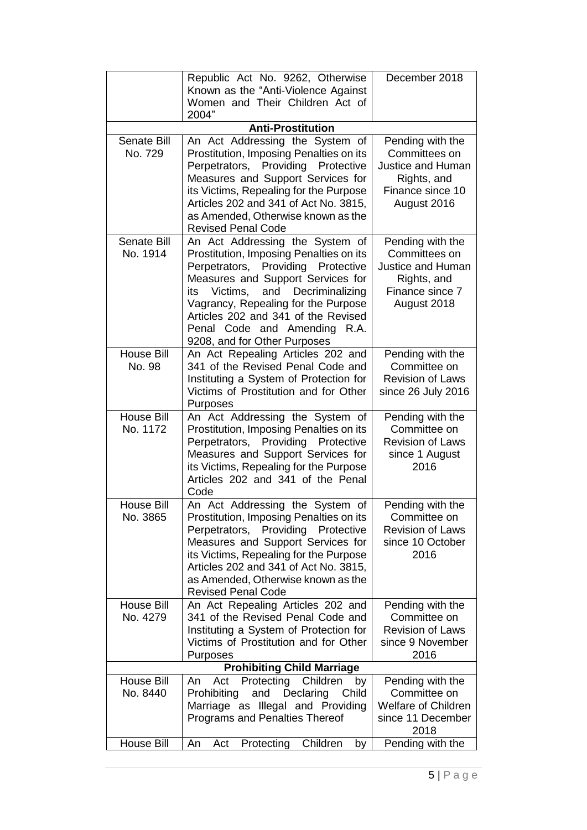|                                      | Republic Act No. 9262, Otherwise<br>Known as the "Anti-Violence Against<br>Women and Their Children Act of<br>2004"                                                                                                                                                                                                                                 | December 2018                                                                                                   |  |  |  |  |  |
|--------------------------------------|-----------------------------------------------------------------------------------------------------------------------------------------------------------------------------------------------------------------------------------------------------------------------------------------------------------------------------------------------------|-----------------------------------------------------------------------------------------------------------------|--|--|--|--|--|
| <b>Anti-Prostitution</b>             |                                                                                                                                                                                                                                                                                                                                                     |                                                                                                                 |  |  |  |  |  |
| <b>Senate Bill</b><br>No. 729        | An Act Addressing the System of<br>Prostitution, Imposing Penalties on its<br>Perpetrators, Providing<br>Protective<br>Measures and Support Services for<br>its Victims, Repealing for the Purpose<br>Articles 202 and 341 of Act No. 3815,<br>as Amended, Otherwise known as the<br><b>Revised Penal Code</b>                                      | Pending with the<br>Committees on<br><b>Justice and Human</b><br>Rights, and<br>Finance since 10<br>August 2016 |  |  |  |  |  |
| <b>Senate Bill</b><br>No. 1914       | An Act Addressing the System of<br>Prostitution, Imposing Penalties on its<br>Perpetrators, Providing Protective<br>Measures and Support Services for<br>and<br>Decriminalizing<br>Victims,<br>its<br>Vagrancy, Repealing for the Purpose<br>Articles 202 and 341 of the Revised<br>Penal Code and Amending<br>R.A.<br>9208, and for Other Purposes | Pending with the<br>Committees on<br><b>Justice and Human</b><br>Rights, and<br>Finance since 7<br>August 2018  |  |  |  |  |  |
| <b>House Bill</b><br>No. 98          | An Act Repealing Articles 202 and<br>341 of the Revised Penal Code and<br>Instituting a System of Protection for<br>Victims of Prostitution and for Other<br>Purposes                                                                                                                                                                               | Pending with the<br>Committee on<br><b>Revision of Laws</b><br>since 26 July 2016                               |  |  |  |  |  |
| <b>House Bill</b><br>No. 1172        | An Act Addressing the System of<br>Prostitution, Imposing Penalties on its<br>Perpetrators, Providing Protective<br>Measures and Support Services for<br>its Victims, Repealing for the Purpose<br>Articles 202 and 341 of the Penal<br>Code                                                                                                        | Pending with the<br>Committee on<br><b>Revision of Laws</b><br>since 1 August<br>2016                           |  |  |  |  |  |
| <b>House Bill</b><br>No. 3865        | An Act Addressing the System of<br>Prostitution, Imposing Penalties on its<br>Perpetrators, Providing Protective<br>Measures and Support Services for<br>its Victims, Repealing for the Purpose<br>Articles 202 and 341 of Act No. 3815,<br>as Amended, Otherwise known as the<br><b>Revised Penal Code</b>                                         | Pending with the<br>Committee on<br><b>Revision of Laws</b><br>since 10 October<br>2016                         |  |  |  |  |  |
| House Bill<br>No. 4279               | An Act Repealing Articles 202 and<br>341 of the Revised Penal Code and<br>Instituting a System of Protection for<br>Victims of Prostitution and for Other<br>Purposes                                                                                                                                                                               | Pending with the<br>Committee on<br><b>Revision of Laws</b><br>since 9 November<br>2016                         |  |  |  |  |  |
|                                      | <b>Prohibiting Child Marriage</b>                                                                                                                                                                                                                                                                                                                   |                                                                                                                 |  |  |  |  |  |
| House Bill<br>No. 8440<br>House Bill | Children<br>Protecting<br>Act<br>An<br>by<br>Prohibiting<br>Declaring<br>and<br>Child<br>Marriage as Illegal and Providing<br>Programs and Penalties Thereof<br>Children<br>Protecting<br>An<br>Act<br>by                                                                                                                                           | Pending with the<br>Committee on<br><b>Welfare of Children</b><br>since 11 December<br>2018<br>Pending with the |  |  |  |  |  |
|                                      |                                                                                                                                                                                                                                                                                                                                                     |                                                                                                                 |  |  |  |  |  |